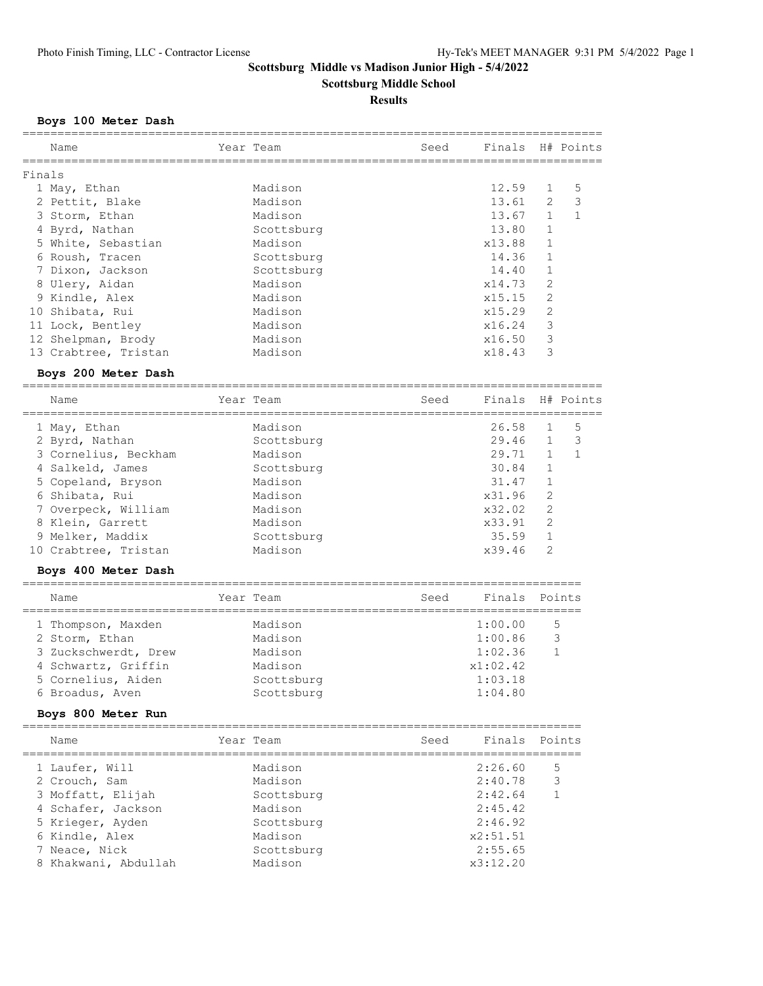**Scottsburg Middle School**

## **Results**

## **Boys 100 Meter Dash**

|        | Name                 | Year Team  | Seed | Finals                                  |                | H# Points    |
|--------|----------------------|------------|------|-----------------------------------------|----------------|--------------|
|        |                      |            |      |                                         |                |              |
| Finals | 1 May, Ethan         | Madison    |      | 12.59                                   | 1              | 5            |
|        | 2 Pettit, Blake      | Madison    |      | 13.61                                   | 2              | 3            |
|        | 3 Storm, Ethan       | Madison    |      | 13.67                                   | $\mathbf{1}$   | $\mathbf{1}$ |
|        | 4 Byrd, Nathan       | Scottsburg |      | 13.80                                   | $\mathbf{1}$   |              |
|        | 5 White, Sebastian   | Madison    |      | x13.88                                  | 1              |              |
|        | 6 Roush, Tracen      | Scottsburg |      | 14.36                                   | 1              |              |
|        | 7 Dixon, Jackson     | Scottsburg |      | 14.40                                   | 1              |              |
|        | 8 Ulery, Aidan       | Madison    |      | x14.73                                  | $\overline{c}$ |              |
|        | 9 Kindle, Alex       | Madison    |      | x15.15                                  | $\overline{2}$ |              |
|        | 10 Shibata, Rui      | Madison    |      | x15.29                                  | 2              |              |
|        | 11 Lock, Bentley     | Madison    |      | x16.24                                  | 3              |              |
|        | 12 Shelpman, Brody   | Madison    |      | x16.50                                  | 3              |              |
|        | 13 Crabtree, Tristan | Madison    |      | x18.43                                  | 3              |              |
|        | Boys 200 Meter Dash  |            |      |                                         |                |              |
|        | Name                 | Year Team  | Seed | Finals                                  |                | H# Points    |
|        | 1 May, Ethan         | Madison    |      | 26.58                                   | $\mathbf{1}$   | 5            |
|        | 2 Byrd, Nathan       | Scottsburg |      | 29.46                                   | $\mathbf 1$    | 3            |
|        | 3 Cornelius, Beckham | Madison    |      | 29.71                                   | $\mathbf 1$    | $\mathbf{1}$ |
|        | 4 Salkeld, James     | Scottsburg |      | 30.84                                   | 1              |              |
|        | 5 Copeland, Bryson   | Madison    |      | 31.47                                   | 1              |              |
|        | 6 Shibata, Rui       | Madison    |      | x31.96                                  | $\overline{c}$ |              |
|        | 7 Overpeck, William  | Madison    |      | x32.02                                  | $\overline{2}$ |              |
|        | 8 Klein, Garrett     | Madison    |      | x33.91                                  | $\overline{2}$ |              |
|        | 9 Melker, Maddix     | Scottsburg |      | 35.59                                   | $\mathbf 1$    |              |
|        | 10 Crabtree, Tristan | Madison    |      | x39.46                                  | 2              |              |
|        | Boys 400 Meter Dash  |            |      |                                         |                |              |
|        | Name                 | Year Team  | Seed | Finals<br>============================= |                | Points       |
|        | 1 Thompson, Maxden   | Madison    |      | 1:00.00                                 |                | 5            |
|        | 2 Storm, Ethan       | Madison    |      | 1:00.86                                 |                | 3            |
|        | 3 Zuckschwerdt, Drew | Madison    |      | 1:02.36                                 |                | $\mathbf{1}$ |
|        | 4 Schwartz, Griffin  | Madison    |      | x1:02.42                                |                |              |
|        | 5 Cornelius, Aiden   | Scottsburg |      | 1:03.18                                 |                |              |
|        | 6 Broadus, Aven      | Scottsburg |      | 1:04.80                                 |                |              |
|        | Boys 800 Meter Run   |            |      |                                         |                |              |
|        | Name                 | Year Team  | Seed | Finals Points                           |                |              |
|        | 1 Laufer, Will       | Madison    |      | 2:26.60                                 |                | 5            |
|        | 2 Crouch, Sam        | Madison    |      | 2:40.78                                 |                | 3            |
|        | 3 Moffatt, Elijah    | Scottsburg |      | 2:42.64                                 |                | $\mathbf{1}$ |
|        | 4 Schafer, Jackson   | Madison    |      | 2:45.42                                 |                |              |
|        | 5 Krieger, Ayden     | Scottsburg |      | 2:46.92                                 |                |              |
|        | 6 Kindle, Alex       | Madison    |      | x2:51.51                                |                |              |
|        | 7 Neace, Nick        | Scottsburg |      | 2:55.65                                 |                |              |
|        | 8 Khakwani, Abdullah | Madison    |      | x3:12.20                                |                |              |
|        |                      |            |      |                                         |                |              |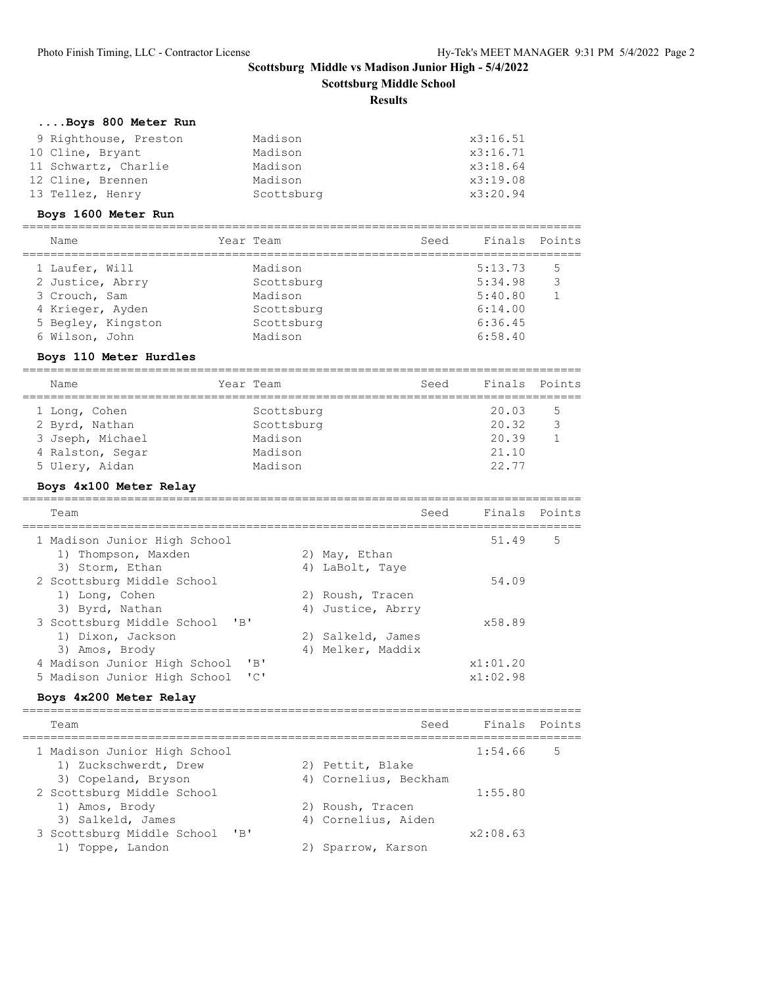**Scottsburg Middle School**

### **Results**

## **....Boys 800 Meter Run**

| 9 Righthouse, Preston | Madison    | x3:16.51 |
|-----------------------|------------|----------|
| 10 Cline, Bryant      | Madison    | x3:16.71 |
| 11 Schwartz, Charlie  | Madison    | x3:18.64 |
| 12 Cline, Brennen     | Madison    | x3:19.08 |
| 13 Tellez, Henry      | Scottsburg | x3:20.94 |

## **Boys 1600 Meter Run**

| Name               | Year Team  | Seed | Finals Points |   |
|--------------------|------------|------|---------------|---|
| 1 Laufer, Will     | Madison    |      | 5:13.73       | 5 |
| 2 Justice, Abrry   | Scottsburg |      | 5:34.98       | 3 |
| 3 Crouch, Sam      | Madison    |      | 5:40.80       |   |
| 4 Krieger, Ayden   | Scottsburg |      | 6:14.00       |   |
| 5 Begley, Kingston | Scottsburg |      | 6:36.45       |   |
| 6 Wilson, John     | Madison    |      | 6:58.40       |   |
|                    |            |      |               |   |

### **Boys 110 Meter Hurdles**

| Name                                                                                      | Year Team                                                 | Seed | Finals Points                             |   |
|-------------------------------------------------------------------------------------------|-----------------------------------------------------------|------|-------------------------------------------|---|
| 1 Long, Cohen<br>2 Byrd, Nathan<br>3 Jseph, Michael<br>4 Ralston, Segar<br>5 Ulery, Aidan | Scottsburg<br>Scottsburg<br>Madison<br>Madison<br>Madison |      | 20.03<br>20.32<br>20.39<br>21.10<br>22.77 | 5 |

## **Boys 4x100 Meter Relay**

| Team                                                         | Seed | Finals Points |   |
|--------------------------------------------------------------|------|---------------|---|
| 1 Madison Junior High School                                 |      | 51.49         | 5 |
| 1) Thompson, Maxden<br>2) May, Ethan                         |      |               |   |
| 3) Storm, Ethan<br>4) LaBolt, Taye                           |      |               |   |
| 2 Scottsburg Middle School                                   |      | 54.09         |   |
| 1) Long, Cohen<br>2) Roush, Tracen                           |      |               |   |
| 3) Byrd, Nathan<br>4) Justice, Abrry                         |      |               |   |
| 3 Scottsburg Middle School<br>"B"                            |      | x58.89        |   |
| 1) Dixon, Jackson<br>2) Salkeld, James                       |      |               |   |
| 4) Melker, Maddix<br>3) Amos, Brody                          |      |               |   |
| 4 Madison Junior High School<br>$'$ R $'$                    |      | x1:01.20      |   |
| $\mathsf{L} \cap \mathsf{L}$<br>5 Madison Junior High School |      | x1:02.98      |   |
|                                                              |      |               |   |

## **Boys 4x200 Meter Relay**

| Team                           | Seed                  | Finals Points |   |
|--------------------------------|-----------------------|---------------|---|
| 1 Madison Junior High School   |                       | 1:54.66       | 5 |
| 1) Zuckschwerdt, Drew          | 2) Pettit, Blake      |               |   |
| 3) Copeland, Bryson            | 4) Cornelius, Beckham |               |   |
| 2 Scottsburg Middle School     |                       | 1:55.80       |   |
| 1) Amos, Brody                 | 2) Roush, Tracen      |               |   |
| 3) Salkeld, James              | 4) Cornelius, Aiden   |               |   |
| 3 Scottsburg Middle School 'B' |                       | x2:08.63      |   |
| 1) Toppe, Landon               | Sparrow, Karson       |               |   |
|                                |                       |               |   |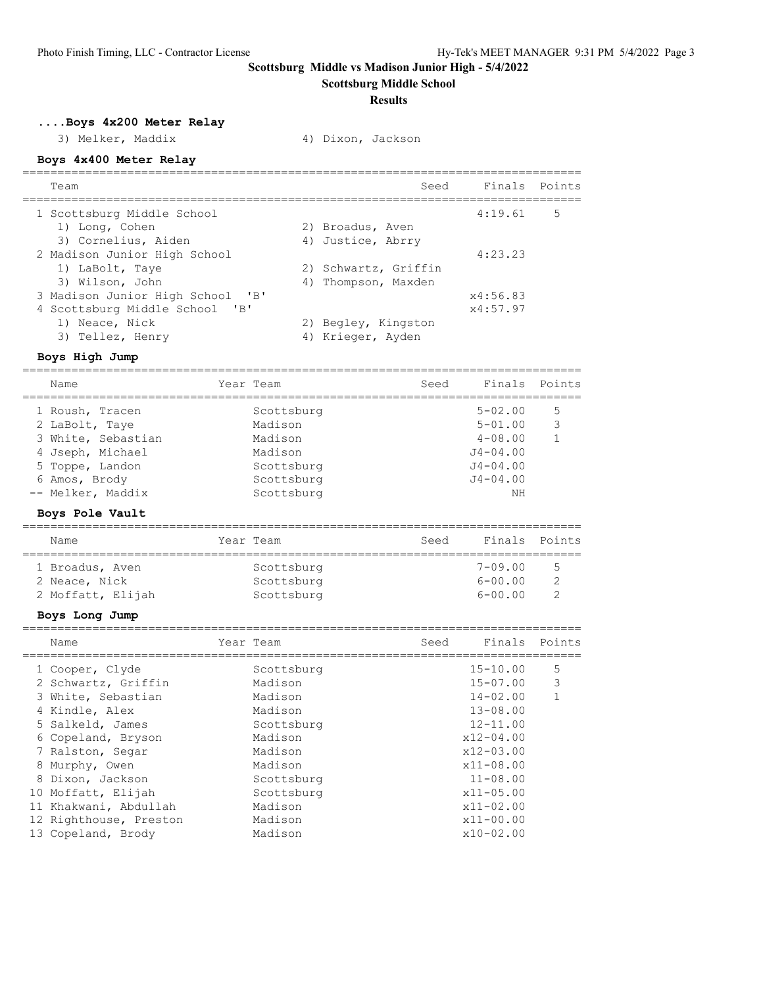**Scottsburg Middle School**

#### **Results**

**....Boys 4x200 Meter Relay**

3) Melker, Maddix 4) Dixon, Jackson

## **Boys 4x400 Meter Relay**

| Team                                | Seed                 | Finals Points |   |
|-------------------------------------|----------------------|---------------|---|
| 1 Scottsburg Middle School          |                      | 4:19.61       | 5 |
| 1) Long, Cohen                      | 2) Broadus, Aven     |               |   |
| 3) Cornelius, Aiden                 | 4) Justice, Abrry    |               |   |
| 2 Madison Junior High School        |                      | 4:23.23       |   |
| 1) LaBolt, Taye                     | 2) Schwartz, Griffin |               |   |
| 3) Wilson, John                     | 4) Thompson, Maxden  |               |   |
| "B"<br>3 Madison Junior High School |                      | x4:56.83      |   |
| 4 Scottsburg Middle School 'B'      |                      | x4:57.97      |   |
| 1) Neace, Nick                      | 2) Begley, Kingston  |               |   |
| 3) Tellez, Henry                    | 4) Krieger, Ayden    |               |   |

#### **Boys High Jump**

================================================================================

| Name                                                                                                                                 | Year Team                                                                             | Seed | Finals Points                                                                                   |        |
|--------------------------------------------------------------------------------------------------------------------------------------|---------------------------------------------------------------------------------------|------|-------------------------------------------------------------------------------------------------|--------|
| 1 Roush, Tracen<br>2 LaBolt, Taye<br>3 White, Sebastian<br>4 Jseph, Michael<br>5 Toppe, Landon<br>6 Amos, Brody<br>-- Melker, Maddix | Scottsburg<br>Madison<br>Madison<br>Madison<br>Scottsburg<br>Scottsburg<br>Scottsburg |      | $5 - 02.00$<br>$5 - 01.00$<br>$4 - 08.00$<br>$J4 - 04.00$<br>$J4 - 04.00$<br>$J4 - 04.00$<br>ΝH | 5<br>3 |
|                                                                                                                                      |                                                                                       |      |                                                                                                 |        |

### **Boys Pole Vault**

| Name              | Year Team  | Seed | Finals Points |    |
|-------------------|------------|------|---------------|----|
| 1 Broadus, Aven   | Scottsburg |      | $7 - 09.00$   | -5 |
| 2 Neace, Nick     | Scottsburg |      | $6 - 00.00$   |    |
| 2 Moffatt, Elijah | Scottsburg |      | $6 - 00.00$   |    |

================================================================================

## **Boys Long Jump**

|    | Name                   | Year Team  | Seed | Finals Points |   |
|----|------------------------|------------|------|---------------|---|
|    | 1 Cooper, Clyde        | Scottsburg |      | $15 - 10.00$  | 5 |
|    | 2 Schwartz, Griffin    | Madison    |      | $15 - 07.00$  | 3 |
|    | 3 White, Sebastian     | Madison    |      | $14 - 02.00$  |   |
|    | 4 Kindle, Alex         | Madison    |      | $13 - 08.00$  |   |
|    | 5 Salkeld, James       | Scottsburg |      | $12 - 11.00$  |   |
|    | 6 Copeland, Bryson     | Madison    |      | $x12 - 04.00$ |   |
|    | 7 Ralston, Segar       | Madison    |      | $x12 - 03.00$ |   |
|    | 8 Murphy, Owen         | Madison    |      | $x11 - 08.00$ |   |
|    | 8 Dixon, Jackson       | Scottsburg |      | $11 - 08.00$  |   |
|    | 10 Moffatt, Elijah     | Scottsburg |      | $x11 - 05.00$ |   |
| 11 | Khakwani, Abdullah     | Madison    |      | $x11 - 02.00$ |   |
|    | 12 Righthouse, Preston | Madison    |      | $x11 - 00.00$ |   |
|    | 13 Copeland, Brody     | Madison    |      | $x10-02.00$   |   |